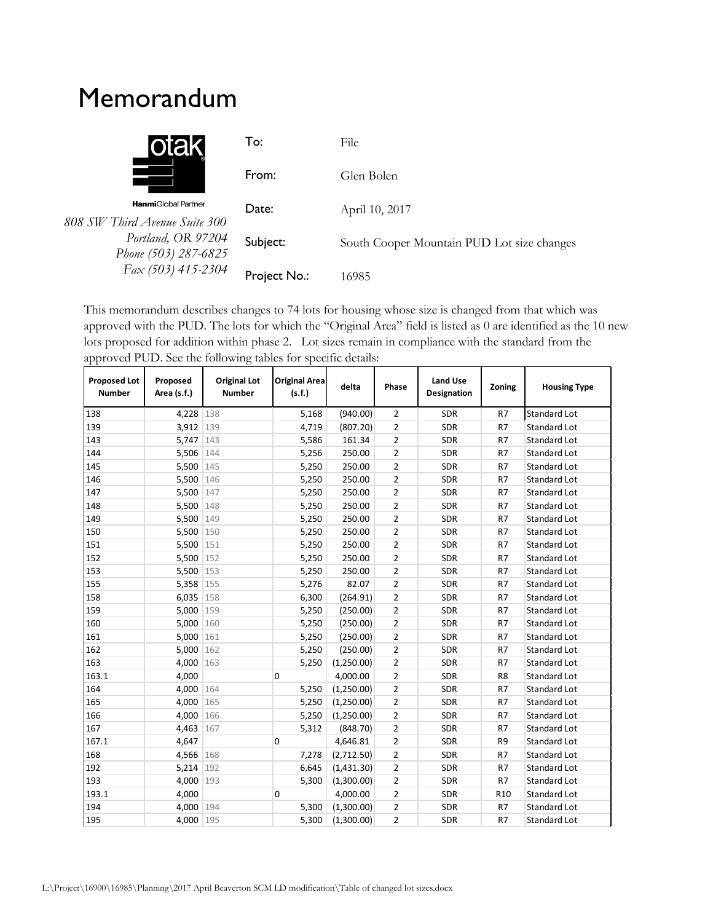## Memorandum

| <b>Otak</b>                                                  | To:          | File                                       |  |  |
|--------------------------------------------------------------|--------------|--------------------------------------------|--|--|
|                                                              | From:        | Glen Bolen                                 |  |  |
| <b>Hanmi</b> Global Partner<br>808 SW Third Avenue Suite 300 | Date:        | April 10, 2017                             |  |  |
| Portland, OR 97204<br>Phone (503) 287-6825                   | Subject:     | South Cooper Mountain PUD Lot size changes |  |  |
| Fax (503) 415-2304                                           | Project No.: | 16985                                      |  |  |

This memorandum describes changes to 74 lots for housing whose size is changed from that which was approved with the PUD. The lots for which the "Original Area" field is listed as 0 are identified as the 10 new lots proposed for addition within phase 2. Lot sizes remain in compliance with the standard from the approved PUD. See the following tables for specific details:

| <b>Proposed Lot</b><br><b>Number</b> | Proposed<br>Area (s.f.) | <b>Original Lot</b><br><b>Number</b> | <b>Original Area</b><br>(s.f.) | delta      | Phase          | <b>Land Use</b><br><b>Designation</b> | Zoning          | <b>Housing Type</b> |
|--------------------------------------|-------------------------|--------------------------------------|--------------------------------|------------|----------------|---------------------------------------|-----------------|---------------------|
| 138                                  | 4,228 138               |                                      | 5,168                          | (940.00)   | $\overline{2}$ | <b>SDR</b>                            | R7              | Standard Lot        |
| 139                                  | 3,912 139               |                                      | 4,719                          | (807.20)   | $\overline{2}$ | <b>SDR</b>                            | R7              | Standard Lot        |
| 143                                  | 5,747 143               |                                      | 5,586                          | 161.34     | $\overline{2}$ | <b>SDR</b>                            | R7              | Standard Lot        |
| 144                                  | 5,506 144               |                                      | 5,256                          | 250.00     | $\overline{2}$ | <b>SDR</b>                            | R7              | Standard Lot        |
| 145                                  | 5,500 145               |                                      | 5,250                          | 250.00     | $\overline{2}$ | <b>SDR</b>                            | R7              | Standard Lot        |
| 146                                  | 5,500 146               |                                      | 5,250                          | 250.00     | $\overline{2}$ | <b>SDR</b>                            | R7              | Standard Lot        |
| 147                                  | 5,500 147               |                                      | 5,250                          | 250.00     | $\overline{2}$ | <b>SDR</b>                            | R7              | Standard Lot        |
| 148                                  | 5,500 148               |                                      | 5,250                          | 250.00     | $\overline{2}$ | <b>SDR</b>                            | R7              | Standard Lot        |
| 149                                  | 5,500                   | 149                                  | 5,250                          | 250.00     | $\overline{2}$ | <b>SDR</b>                            | R7              | Standard Lot        |
| 150                                  | 5,500 150               |                                      | 5,250                          | 250.00     | $\overline{2}$ | <b>SDR</b>                            | R7              | Standard Lot        |
| 151                                  | 5,500 151               |                                      | 5,250                          | 250.00     | $\overline{2}$ | <b>SDR</b>                            | R7              | Standard Lot        |
| 152                                  | 5,500 152               |                                      | 5,250                          | 250.00     | $\overline{2}$ | <b>SDR</b>                            | R7              | Standard Lot        |
| 153                                  | 5,500 153               |                                      | 5,250                          | 250.00     | $\overline{2}$ | <b>SDR</b>                            | R7              | Standard Lot        |
| 155                                  | 5,358 155               |                                      | 5,276                          | 82.07      | $\overline{2}$ | <b>SDR</b>                            | R7              | Standard Lot        |
| 158                                  | 6,035 158               |                                      | 6,300                          | (264.91)   | $\overline{2}$ | <b>SDR</b>                            | R7              | Standard Lot        |
| 159                                  | 5,000                   | 159                                  | 5,250                          | (250.00)   | $\overline{2}$ | <b>SDR</b>                            | R7              | <b>Standard Lot</b> |
| 160                                  | 5,000 160               |                                      | 5,250                          | (250.00)   | $\overline{2}$ | <b>SDR</b>                            | R7              | Standard Lot        |
| 161                                  | 5,000 161               |                                      | 5,250                          | (250.00)   | $\overline{2}$ | <b>SDR</b>                            | R7              | Standard Lot        |
| 162                                  | 5,000 162               |                                      | 5,250                          | (250.00)   | $\overline{2}$ | <b>SDR</b>                            | R7              | Standard Lot        |
| 163                                  | 4,000 163               |                                      | 5,250                          | (1,250.00) | $\mathbf 2$    | <b>SDR</b>                            | R7              | Standard Lot        |
| 163.1                                | 4,000                   |                                      | 0                              | 4,000.00   | $\overline{2}$ | <b>SDR</b>                            | R <sub>8</sub>  | Standard Lot        |
| 164                                  | 4,000 164               |                                      | 5,250                          | (1,250.00) | $\overline{2}$ | <b>SDR</b>                            | R7              | <b>Standard Lot</b> |
| 165                                  | 4,000                   | 165                                  | 5,250                          | (1,250.00) | $\overline{2}$ | <b>SDR</b>                            | R7              | Standard Lot        |
| 166                                  | 4,000 166               |                                      | 5,250                          | (1,250.00) | $\overline{2}$ | <b>SDR</b>                            | R7              | Standard Lot        |
| 167                                  | 4,463 167               |                                      | 5,312                          | (848.70)   | $\overline{2}$ | <b>SDR</b>                            | R <sub>7</sub>  | Standard Lot        |
| 167.1                                | 4,647                   |                                      | $\Omega$                       | 4,646.81   | $\overline{2}$ | <b>SDR</b>                            | R <sub>9</sub>  | Standard Lot        |
| 168                                  | 4,566 168               |                                      | 7,278                          | (2,712.50) | $\overline{2}$ | <b>SDR</b>                            | R7              | Standard Lot        |
| 192                                  | 5,214                   | 192                                  | 6,645                          | (1,431.30) | $\overline{2}$ | <b>SDR</b>                            | R <sub>7</sub>  | Standard Lot        |
| 193                                  | 4,000 193               |                                      | 5,300                          | (1,300.00) | $\overline{2}$ | <b>SDR</b>                            | R7              | Standard Lot        |
| 193.1                                | 4,000                   |                                      | 0                              | 4,000.00   | $\overline{2}$ | <b>SDR</b>                            | R <sub>10</sub> | Standard Lot        |
| 194                                  | 4,000 194               |                                      | 5,300                          | (1,300.00) | $\overline{2}$ | <b>SDR</b>                            | R7              | Standard Lot        |
| 195                                  | 4,000 195               |                                      | 5,300                          | (1,300.00) | $\overline{2}$ | <b>SDR</b>                            | R7              | Standard Lot        |